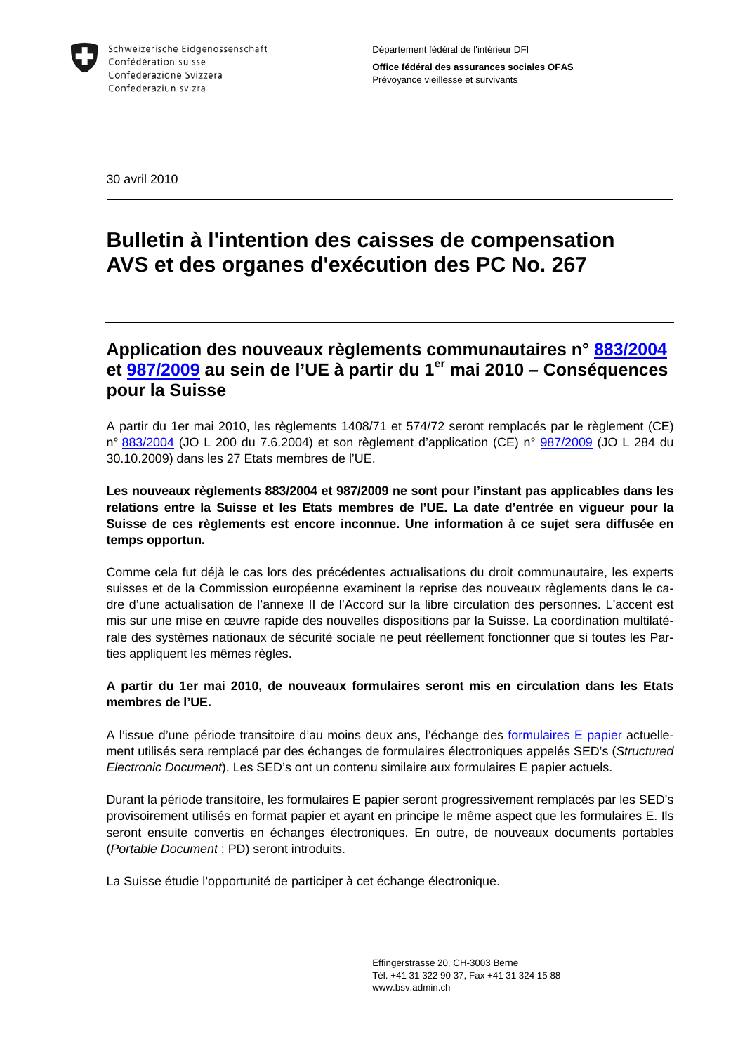

30 avril 2010

# **Bulletin à l'intention des caisses de compensation AVS et des organes d'exécution des PC No. 267**

## **Application des nouveaux règlements communautaires n° [883/2004](http://eur-lex.europa.eu/JOHtml.do?uri=OJ:L:2004:200:SOM:FR:HTML) et [987/2009](http://eur-lex.europa.eu/JOHtml.do?uri=OJ:L:2009:284:SOM:FR:HTML) au sein de l'UE à partir du 1er mai 2010 – Conséquences pour la Suisse**

A partir du 1er mai 2010, les règlements 1408/71 et 574/72 seront remplacés par le règlement (CE) n° [883/2004](http://eur-lex.europa.eu/JOHtml.do?uri=OJ:L:2004:200:SOM:FR:HTML) (JO L 200 du 7.6.2004) et son règlement d'application (CE) n° [987/2009](http://eur-lex.europa.eu/JOHtml.do?uri=OJ:L:2009:284:SOM:FR:HTML) (JO L 284 du 30.10.2009) dans les 27 Etats membres de l'UE.

**Les nouveaux règlements 883/2004 et 987/2009 ne sont pour l'instant pas applicables dans les relations entre la Suisse et les Etats membres de l'UE. La date d'entrée en vigueur pour la Suisse de ces règlements est encore inconnue. Une information à ce sujet sera diffusée en temps opportun.** 

Comme cela fut déjà le cas lors des précédentes actualisations du droit communautaire, les experts suisses et de la Commission européenne examinent la reprise des nouveaux règlements dans le cadre d'une actualisation de l'annexe II de l'Accord sur la libre circulation des personnes. L'accent est mis sur une mise en œuvre rapide des nouvelles dispositions par la Suisse. La coordination multilatérale des systèmes nationaux de sécurité sociale ne peut réellement fonctionner que si toutes les Parties appliquent les mêmes règles.

## **A partir du 1er mai 2010, de nouveaux formulaires seront mis en circulation dans les Etats membres de l'UE.**

A l'issue d'une période transitoire d'au moins deux ans, l'échange des [formulaires E papier](http://www.bsv.admin.ch/vollzug/documents/index/category:117/lang:fre) actuellement utilisés sera remplacé par des échanges de formulaires électroniques appelés SED's (*Structured Electronic Document*). Les SED's ont un contenu similaire aux formulaires E papier actuels.

Durant la période transitoire, les formulaires E papier seront progressivement remplacés par les SED's provisoirement utilisés en format papier et ayant en principe le même aspect que les formulaires E. Ils seront ensuite convertis en échanges électroniques. En outre, de nouveaux documents portables (*Portable Document* ; PD) seront introduits.

La Suisse étudie l'opportunité de participer à cet échange électronique.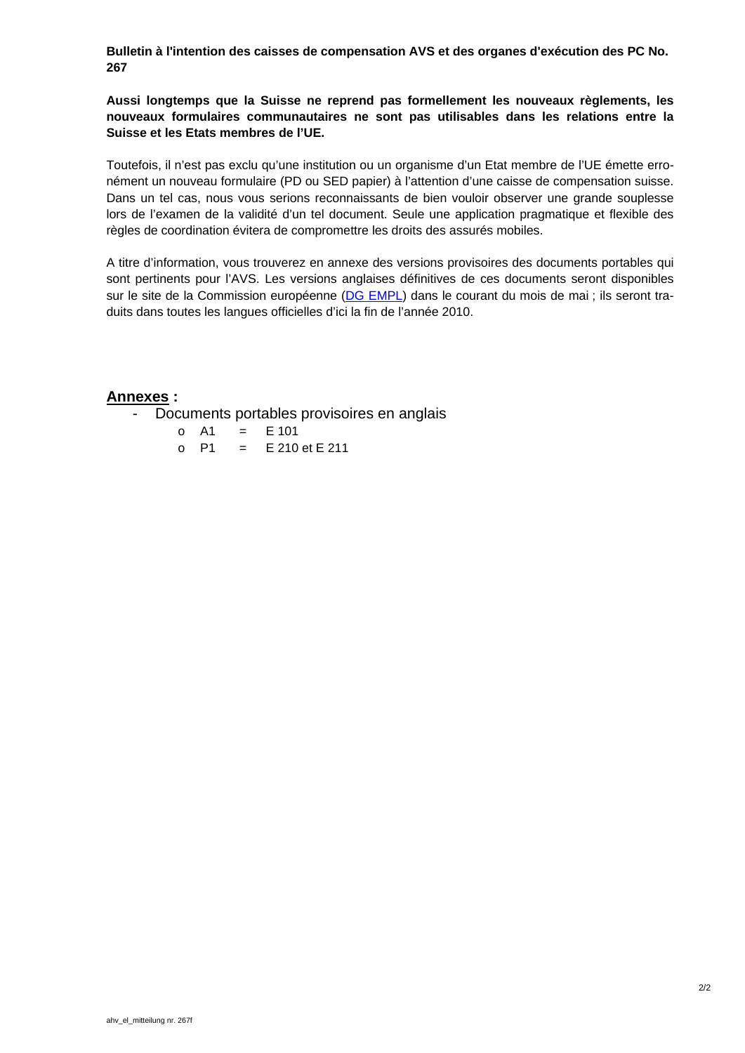**Bulletin à l'intention des caisses de compensation AVS et des organes d'exécution des PC No. 267** 

**Aussi longtemps que la Suisse ne reprend pas formellement les nouveaux règlements, les nouveaux formulaires communautaires ne sont pas utilisables dans les relations entre la Suisse et les Etats membres de l'UE.** 

Toutefois, il n'est pas exclu qu'une institution ou un organisme d'un Etat membre de l'UE émette erronément un nouveau formulaire (PD ou SED papier) à l'attention d'une caisse de compensation suisse. Dans un tel cas, nous vous serions reconnaissants de bien vouloir observer une grande souplesse lors de l'examen de la validité d'un tel document. Seule une application pragmatique et flexible des règles de coordination évitera de compromettre les droits des assurés mobiles.

A titre d'information, vous trouverez en annexe des versions provisoires des documents portables qui sont pertinents pour l'AVS. Les versions anglaises définitives de ces documents seront disponibles sur le site de la Commission européenne [\(DG EMPL\)](http://ec.europa.eu/social/home.jsp) dans le courant du mois de mai ; ils seront traduits dans toutes les langues officielles d'ici la fin de l'année 2010.

### **Annexes :**

Documents portables provisoires en anglais

o A1 = E 101 o P1 = E 210 et E 211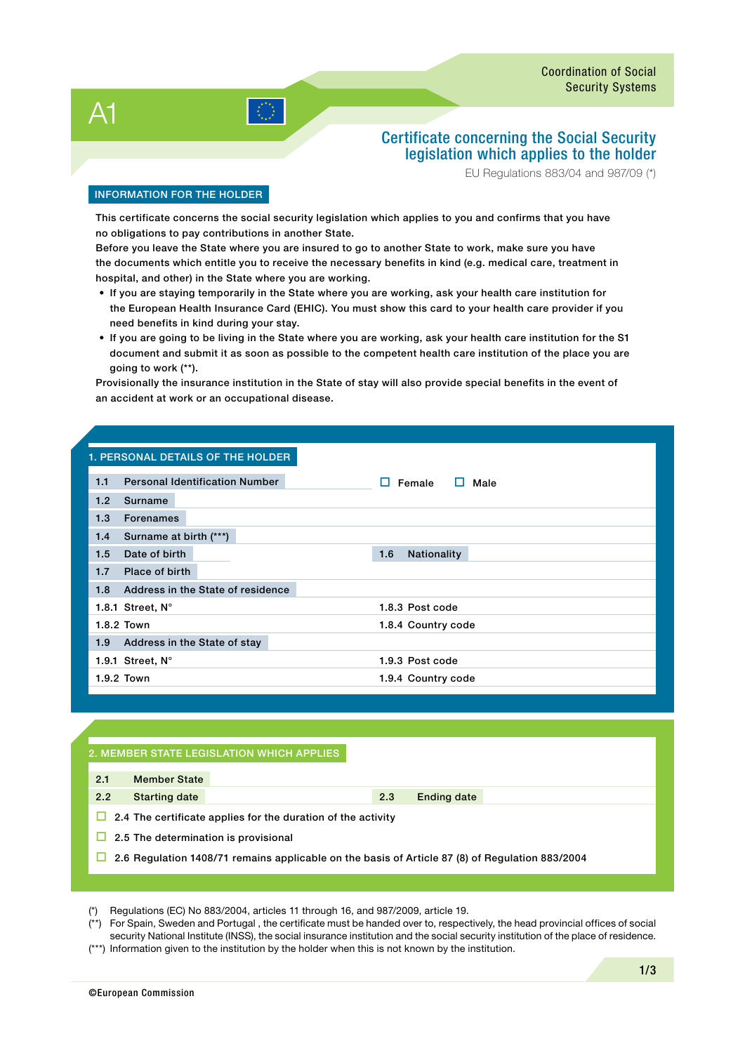$A<sub>1</sub>$ 

## Certificate concerning the Social Security legislation which applies to the holder

EU Regulations 883/04 and 987/09 (\*)

#### INFORMATION FOR THE holder

This certificate concerns the social security legislation which applies to you and confirms that you have no obligations to pay contributions in another State.

Before you leave the State where you are insured to go to another State to work, make sure you have the documents which entitle you to receive the necessary benefits in kind (e.g. medical care, treatment in hospital, and other) in the State where you are working.

- If you are staying temporarily in the State where you are working, ask your health care institution for the European Health Insurance Card (EHIC). You must show this card to your health care provider if you need benefits in kind during your stay.
- If you are going to be living in the State where you are working, ask your health care institution for the S1 document and submit it as soon as possible to the competent health care institution of the place you are going to work (\*\*).

Provisionally the insurance institution in the State of stay will also provide special benefits in the event of an accident at work or an occupational disease.

## 1. personal details of the holder 1.1 Personal Identification Number  $\Box$  Female  $\Box$  Male 1.2 Surname 1.3 Forenames 1.4 Surname at birth (\*\*\*) 1.5 Date of birth 1.5 Nationality 1.7 Place of birth 1.8 Address in the State of residence 1.8.1 Street, N° 1.8.3 Post code 1.8.2 Town 1.8.4 Country code 1.9 Address in the State of stay 1.9.1 Street, N° 1.9.3 Post code 1.9.2 Town 1.9.4 Country code

#### 2. Member state legislation which applies

| 2.1 | <b>Member State</b>                                                                             |
|-----|-------------------------------------------------------------------------------------------------|
| 2.2 | <b>Starting date</b>                                                                            |
|     | $\Box$ 2.4 The certificate applies for the duration of the activity                             |
| ш   | 2.5 The determination is provisional                                                            |
|     | 2.6 Regulation 1408/71 remains applicable on the basis of Article 87 (8) of Regulation 883/2004 |

(\*) Regulations (EC) No 883/2004, articles 11 through 16, and 987/2009, article 19.

(\*\*) For Spain, Sweden and Portugal , the certificate must be handed over to, respectively, the head provincial offices of social security National Institute (INSS), the social insurance institution and the social security institution of the place of residence.

(\*\*\*) Information given to the institution by the holder when this is not known by the institution.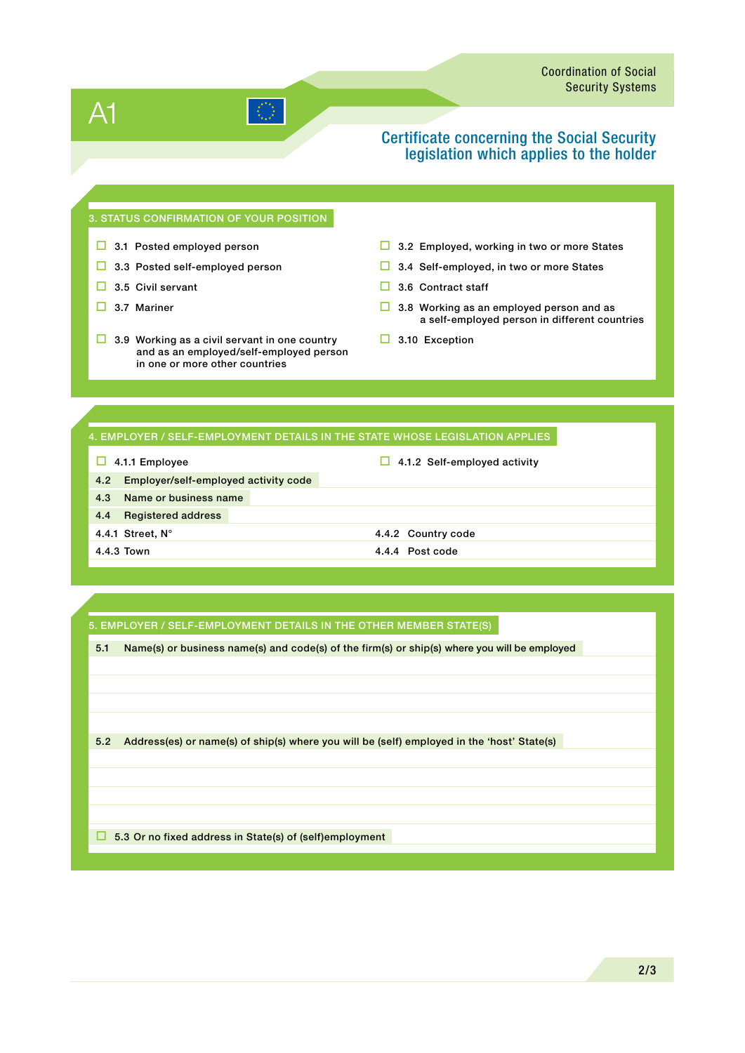# A1

## Certificate concerning the Social Security legislation which applies to the holder

#### 3. STATUS confirmation of your position

- 
- 
- 
- 
- $\Box$  3.9 Working as a civil servant in one country and as an employed/self-employed person in one or more other countries
- $\Box$  3.1 Posted employed person  $\Box$  3.2 Employed, working in two or more States
- 3.3 Posted self-employed person  $\Box$  3.4 Self-employed, in two or more States
- $\Box$  3.5 Civil servant  $\Box$  3.6 Contract staff
- $\Box$  3.7 Mariner  $\Box$  3.8 Working as an employed person and as a self-employed person in different countries
	- $\Box$  3.10 Exception

#### 4. Employer / Self-Employment Details in the State whose legislation applies

#### $\Box$  4.1.1 Employee  $\Box$  4.1.2 Self-employed activity

- 4.2 Employer/self-employed activity code 4.3 Name or business name 4.4 Registered address 4.4.1 Street, N° 4.4.2 Country code
- 4.4.3 Town 4.4.4 Post code

#### 5. Employer / Self-Employment Details IN the other Member State(s)

5.1 Name(s) or business name(s) and code(s) of the firm(s) or ship(s) where you will be employed

5.2 Address(es) or name(s) of ship(s) where you will be (self) employed in the 'host' State(s)

□ 5.3 Or no fixed address in State(s) of (self)employment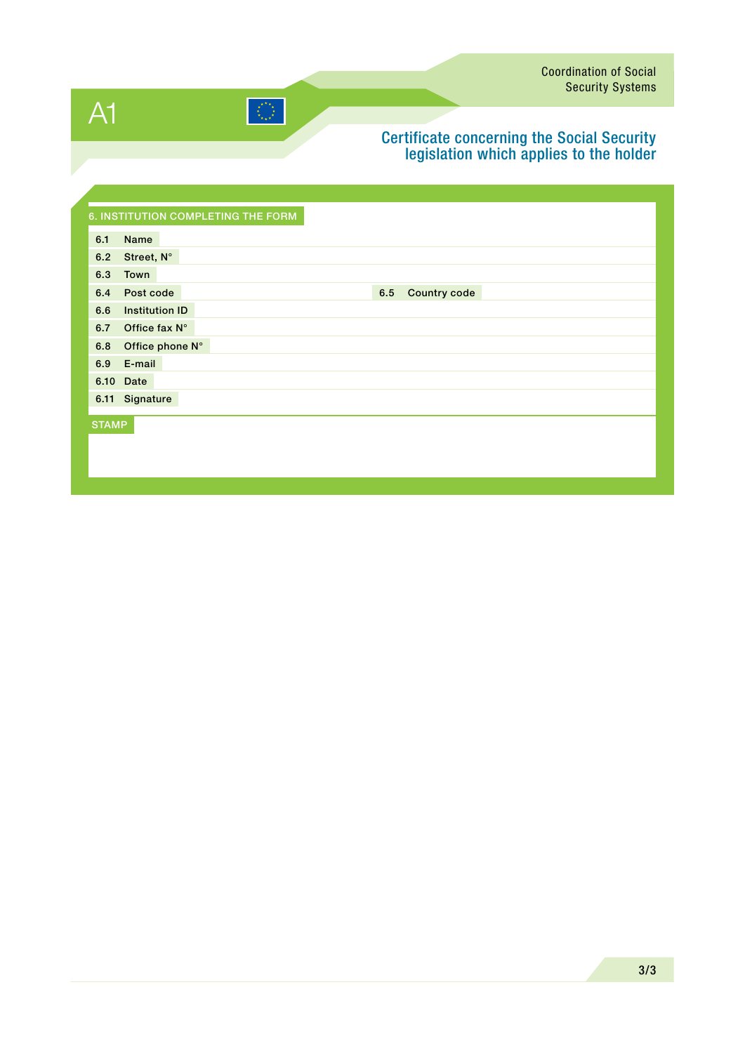A1

# $|\langle \langle \rangle \rangle|$

## Certificate concerning the Social Security legislation which applies to the holder

|              | <b>6. INSTITUTION COMPLETING THE FORM</b> |
|--------------|-------------------------------------------|
| 6.1          | Name                                      |
| 6.2          | Street, N°                                |
| 6.3          | Town                                      |
| 6.4          | <b>Country code</b><br>Post code<br>6.5   |
| 6.6          | <b>Institution ID</b>                     |
| 6.7          | Office fax N°                             |
| 6.8          | Office phone N°                           |
| 6.9          | E-mail                                    |
|              | 6.10 Date                                 |
|              | 6.11 Signature                            |
| <b>STAMP</b> |                                           |
|              |                                           |
|              |                                           |
|              |                                           |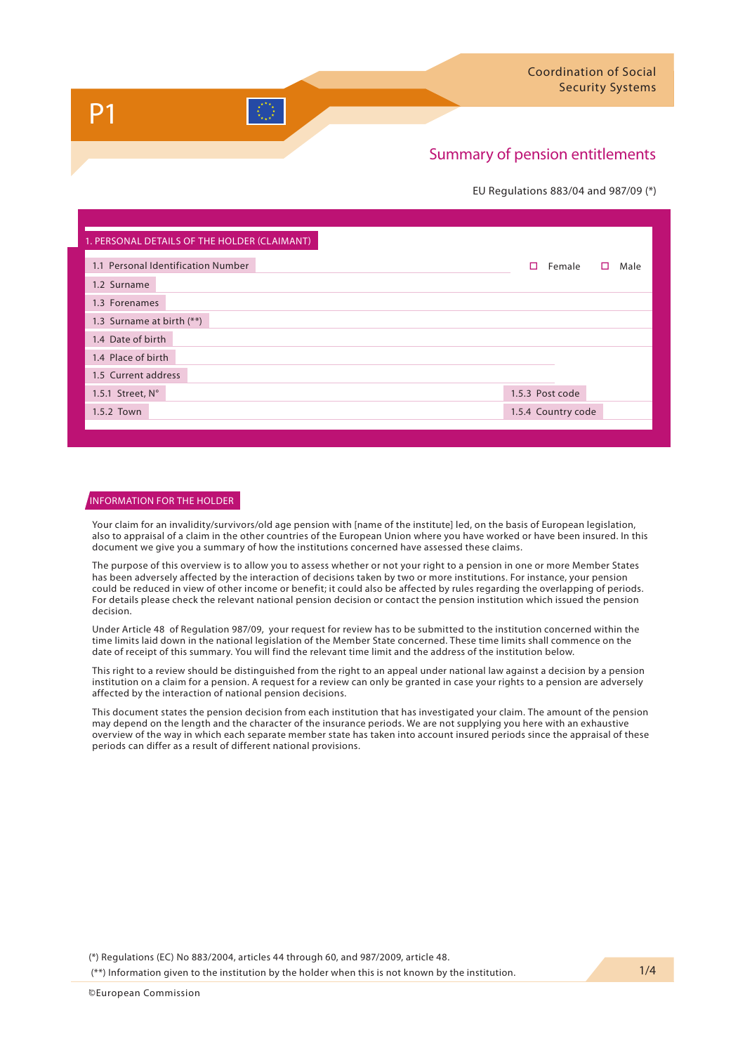#### EU Regulations 883/04 and 987/09 (\*)

| 1. PERSONAL DETAILS OF THE HOLDER (CLAIMANT) |                          |
|----------------------------------------------|--------------------------|
| 1.1 Personal Identification Number           | п<br>Female<br>Male<br>п |
| 1.2 Surname                                  |                          |
| 1.3 Forenames                                |                          |
| 1.3 Surname at birth (**)                    |                          |
| 1.4 Date of birth                            |                          |
| 1.4 Place of birth                           |                          |
| 1.5 Current address                          |                          |
| 1.5.1 Street, $N^\circ$                      | 1.5.3 Post code          |
| 1.5.2 Town                                   | 1.5.4 Country code       |
|                                              |                          |

#### INFORMATION FOR THE HOLDER

Your claim for an invalidity/survivors/old age pension with [name of the institute] led, on the basis of European legislation, also to appraisal of a claim in the other countries of the European Union where you have worked or have been insured. In this document we give you a summary of how the institutions concerned have assessed these claims.

The purpose of this overview is to allow you to assess whether or not your right to a pension in one or more Member States has been adversely affected by the interaction of decisions taken by two or more institutions. For instance, your pension could be reduced in view of other income or benefit; it could also be affected by rules regarding the overlapping of periods. For details please check the relevant national pension decision or contact the pension institution which issued the pension decision.

Under Article 48 of Regulation 987/09, your request for review has to be submitted to the institution concerned within the time limits laid down in the national legislation of the Member State concerned. These time limits shall commence on the date of receipt of this summary. You will find the relevant time limit and the address of the institution below.

This right to a review should be distinguished from the right to an appeal under national law against a decision by a pension institution on a claim for a pension. A request for a review can only be granted in case your rights to a pension are adversely affected by the interaction of national pension decisions.

This document states the pension decision from each institution that has investigated your claim. The amount of the pension may depend on the length and the character of the insurance periods. We are not supplying you here with an exhaustive overview of the way in which each separate member state has taken into account insured periods since the appraisal of these periods can differ as a result of different national provisions.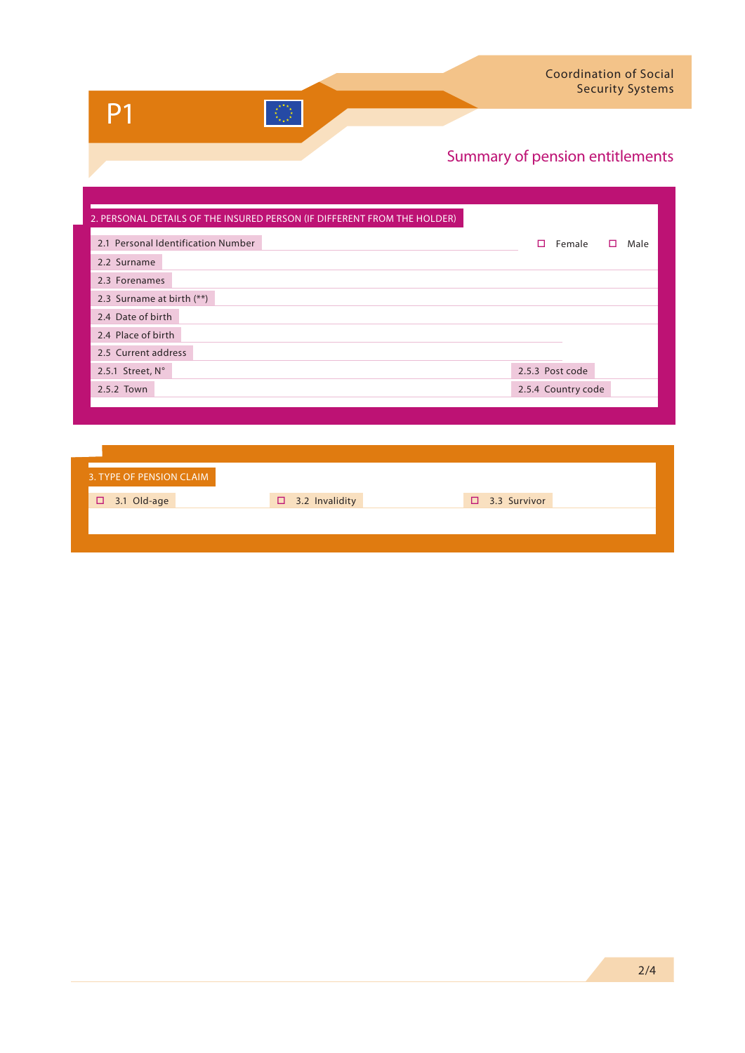| 2. PERSONAL DETAILS OF THE INSURED PERSON (IF DIFFERENT FROM THE HOLDER) |                    |           |
|--------------------------------------------------------------------------|--------------------|-----------|
| 2.1 Personal Identification Number                                       | Female<br>п.       | Male<br>п |
| 2.2 Surname                                                              |                    |           |
| 2.3 Forenames                                                            |                    |           |
| 2.3 Surname at birth (**)                                                |                    |           |
| 2.4 Date of birth                                                        |                    |           |
| 2.4 Place of birth                                                       |                    |           |
| 2.5 Current address                                                      |                    |           |
| 2.5.1 Street, N°                                                         | 2.5.3 Post code    |           |
| 2.5.2 Town                                                               | 2.5.4 Country code |           |
|                                                                          |                    |           |

 $\mathcal{L}_{\mathcal{A}}^{\mathcal{D}_{\mathcal{A}}}$ 

| 3. TYPE OF PENSION CLAIM |                       |                     |  |
|--------------------------|-----------------------|---------------------|--|
| $\Box$ 3.1 Old-age       | $\Box$ 3.2 Invalidity | $\Box$ 3.3 Survivor |  |
|                          |                       |                     |  |
|                          |                       |                     |  |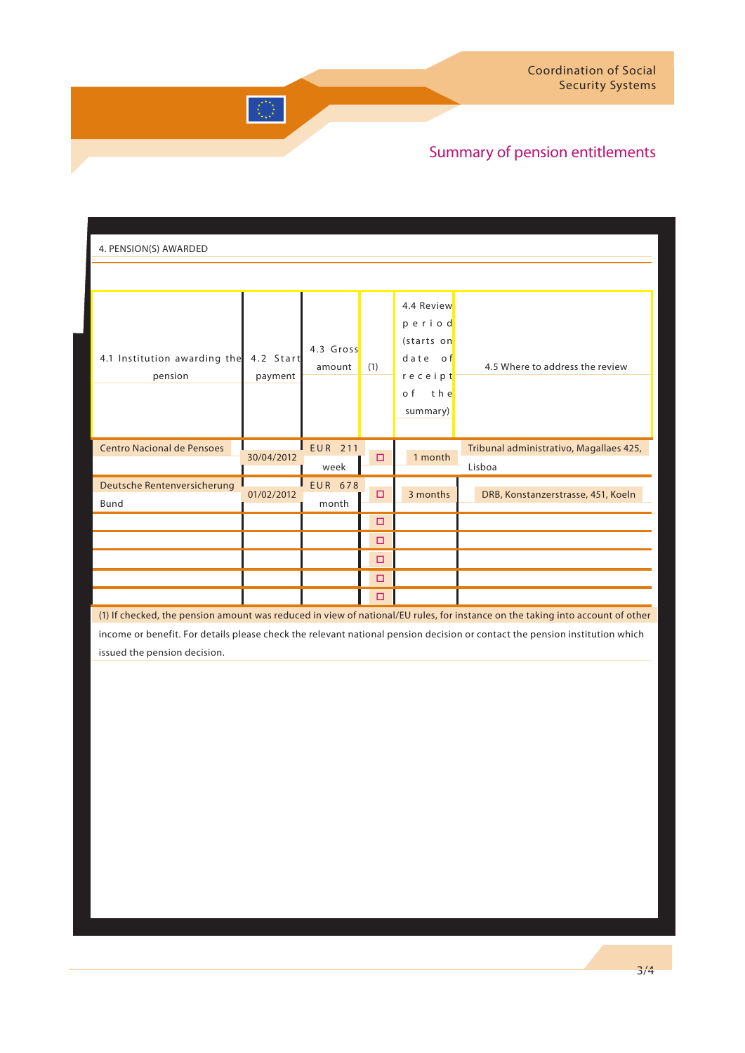| 4. PENSION(S) AWARDED                   |                      |                         |     |                                                                                    |                                                                                                                               |
|-----------------------------------------|----------------------|-------------------------|-----|------------------------------------------------------------------------------------|-------------------------------------------------------------------------------------------------------------------------------|
|                                         |                      |                         |     |                                                                                    |                                                                                                                               |
| 4.1 Institution awarding the<br>pension | 4.2 Start<br>payment | 4.3 Gross<br>amount     | (1) | 4.4 Review<br>period<br>(starts on<br>date of<br>receipt<br>o f<br>the<br>summary) | 4.5 Where to address the review                                                                                               |
| <b>Centro Nacional de Pensoes</b>       | 30/04/2012           | <b>EUR 211</b><br>week  | □   | 1 month                                                                            | Tribunal administrativo, Magallaes 425,<br>Lisboa                                                                             |
| Deutsche Rentenversicherung<br>Bund     | 01/02/2012           | <b>EUR 678</b><br>month | □   | 3 months                                                                           | DRB, Konstanzerstrasse, 451, Koeln                                                                                            |
|                                         |                      |                         | □   |                                                                                    |                                                                                                                               |
|                                         |                      |                         | □   |                                                                                    |                                                                                                                               |
|                                         |                      |                         | □   |                                                                                    |                                                                                                                               |
|                                         |                      |                         | □   |                                                                                    |                                                                                                                               |
|                                         |                      |                         | □   |                                                                                    |                                                                                                                               |
|                                         |                      |                         |     |                                                                                    | (1) If checked, the pension amount was reduced in view of national/EU rules, for instance on the taking into account of other |

 $\left\langle \frac{\partial^2 \mathcal{H}_\text{eff}}{\partial \omega_\text{eff}^2} \right\rangle$ 

income or benefit. For details please check the relevant national pension decision or contact the pension institution which issued the pension decision.